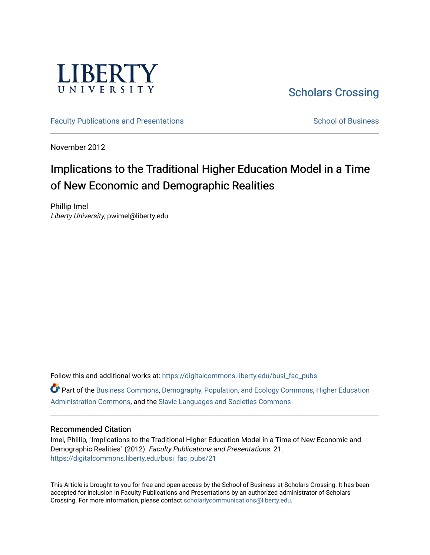

## [Scholars Crossing](https://digitalcommons.liberty.edu/)

[Faculty Publications and Presentations](https://digitalcommons.liberty.edu/busi_fac_pubs) [School of Business](https://digitalcommons.liberty.edu/sob) School of Business

November 2012

# Implications to the Traditional Higher Education Model in a Time of New Economic and Demographic Realities

Phillip Imel Liberty University, pwimel@liberty.edu

Follow this and additional works at: [https://digitalcommons.liberty.edu/busi\\_fac\\_pubs](https://digitalcommons.liberty.edu/busi_fac_pubs?utm_source=digitalcommons.liberty.edu%2Fbusi_fac_pubs%2F21&utm_medium=PDF&utm_campaign=PDFCoverPages)  Part of the [Business Commons](http://network.bepress.com/hgg/discipline/622?utm_source=digitalcommons.liberty.edu%2Fbusi_fac_pubs%2F21&utm_medium=PDF&utm_campaign=PDFCoverPages), [Demography, Population, and Ecology Commons](http://network.bepress.com/hgg/discipline/418?utm_source=digitalcommons.liberty.edu%2Fbusi_fac_pubs%2F21&utm_medium=PDF&utm_campaign=PDFCoverPages), [Higher Education](http://network.bepress.com/hgg/discipline/791?utm_source=digitalcommons.liberty.edu%2Fbusi_fac_pubs%2F21&utm_medium=PDF&utm_campaign=PDFCoverPages)  [Administration Commons,](http://network.bepress.com/hgg/discipline/791?utm_source=digitalcommons.liberty.edu%2Fbusi_fac_pubs%2F21&utm_medium=PDF&utm_campaign=PDFCoverPages) and the [Slavic Languages and Societies Commons](http://network.bepress.com/hgg/discipline/486?utm_source=digitalcommons.liberty.edu%2Fbusi_fac_pubs%2F21&utm_medium=PDF&utm_campaign=PDFCoverPages)

#### Recommended Citation

Imel, Phillip, "Implications to the Traditional Higher Education Model in a Time of New Economic and Demographic Realities" (2012). Faculty Publications and Presentations. 21. [https://digitalcommons.liberty.edu/busi\\_fac\\_pubs/21](https://digitalcommons.liberty.edu/busi_fac_pubs/21?utm_source=digitalcommons.liberty.edu%2Fbusi_fac_pubs%2F21&utm_medium=PDF&utm_campaign=PDFCoverPages)

This Article is brought to you for free and open access by the School of Business at Scholars Crossing. It has been accepted for inclusion in Faculty Publications and Presentations by an authorized administrator of Scholars Crossing. For more information, please contact [scholarlycommunications@liberty.edu](mailto:scholarlycommunications@liberty.edu).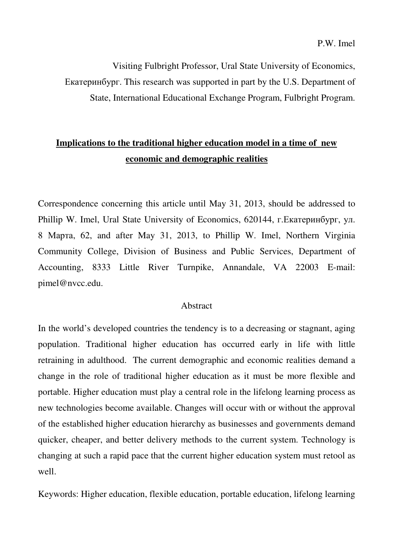Visiting Fulbright Professor, Ural State University of Economics, Екатеринбург. This research was supported in part by the U.S. Department of State, International Educational Exchange Program, Fulbright Program.

## **Implications to the traditional higher education model in a time of new economic and demographic realities**

Correspondence concerning this article until May 31, 2013, should be addressed to Phillip W. Imel, Ural State University of Economics, 620144, г.Екатеринбург, ул. 8 Марта, 62, and after May 31, 2013, to Phillip W. Imel, Northern Virginia Community College, Division of Business and Public Services, Department of Accounting, 8333 Little River Turnpike, Annandale, VA 22003 E-mail: pimel@nvcc.edu.

#### Abstract

In the world's developed countries the tendency is to a decreasing or stagnant, aging population. Traditional higher education has occurred early in life with little retraining in adulthood. The current demographic and economic realities demand a change in the role of traditional higher education as it must be more flexible and portable. Higher education must play a central role in the lifelong learning process as new technologies become available. Changes will occur with or without the approval of the established higher education hierarchy as businesses and governments demand quicker, cheaper, and better delivery methods to the current system. Technology is changing at such a rapid pace that the current higher education system must retool as well.

Keywords: Higher education, flexible education, portable education, lifelong learning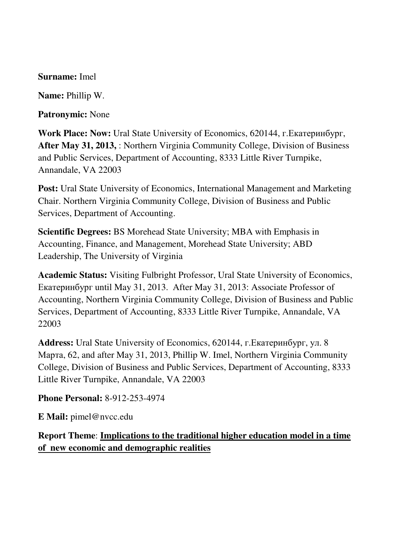### **Surname:** Imel

**Name:** Phillip W.

**Patronymic:** None

**Work Place: Now:** Ural State University of Economics, 620144, г.Екатеринбург, **After May 31, 2013,** : Northern Virginia Community College, Division of Business and Public Services, Department of Accounting, 8333 Little River Turnpike, Annandale, VA 22003

**Post:** Ural State University of Economics, International Management and Marketing Chair. Northern Virginia Community College, Division of Business and Public Services, Department of Accounting.

**Scientific Degrees:** BS Morehead State University; MBA with Emphasis in Accounting, Finance, and Management, Morehead State University; ABD Leadership, The University of Virginia

**Academic Status:** Visiting Fulbright Professor, Ural State University of Economics, Екатеринбург until May 31, 2013. After May 31, 2013: Associate Professor of Accounting, Northern Virginia Community College, Division of Business and Public Services, Department of Accounting, 8333 Little River Turnpike, Annandale, VA 22003

**Address:** Ural State University of Economics, 620144, г.Екатеринбург, ул. 8 Марта, 62, and after May 31, 2013, Phillip W. Imel, Northern Virginia Community College, Division of Business and Public Services, Department of Accounting, 8333 Little River Turnpike, Annandale, VA 22003

**Phone Personal:** 8-912-253-4974

**E Mail:** pimel@nvcc.edu

**Report Theme**: **Implications to the traditional higher education model in a time of new economic and demographic realities**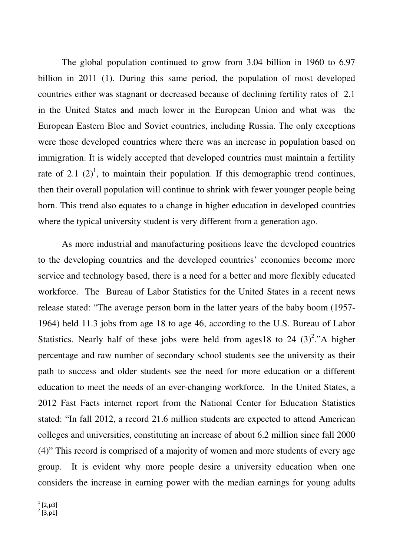The global population continued to grow from 3.04 billion in 1960 to 6.97 billion in 2011 (1). During this same period, the population of most developed countries either was stagnant or decreased because of declining fertility rates of 2.1 in the United States and much lower in the European Union and what was the European Eastern Bloc and Soviet countries, including Russia. The only exceptions were those developed countries where there was an increase in population based on immigration. It is widely accepted that developed countries must maintain a fertility rate of 2.1  $(2)^1$ , to maintain their population. If this demographic trend continues, then their overall population will continue to shrink with fewer younger people being born. This trend also equates to a change in higher education in developed countries where the typical university student is very different from a generation ago.

 As more industrial and manufacturing positions leave the developed countries to the developing countries and the developed countries' economies become more service and technology based, there is a need for a better and more flexibly educated workforce. The Bureau of Labor Statistics for the United States in a recent news release stated: "The average person born in the latter years of the baby boom (1957- 1964) held 11.3 jobs from age 18 to age 46, according to the U.S. Bureau of Labor Statistics. Nearly half of these jobs were held from ages 18 to 24  $(3)^2$ ."A higher percentage and raw number of secondary school students see the university as their path to success and older students see the need for more education or a different education to meet the needs of an ever-changing workforce. In the United States, a 2012 Fast Facts internet report from the National Center for Education Statistics stated: "In fall 2012, a record 21.6 million students are expected to attend American colleges and universities, constituting an increase of about 6.2 million since fall 2000 (4)" This record is comprised of a majority of women and more students of every age group. It is evident why more people desire a university education when one considers the increase in earning power with the median earnings for young adults

 $\frac{1}{2}$ [2,p3]<br> $\frac{2}{2}$ [3,p1]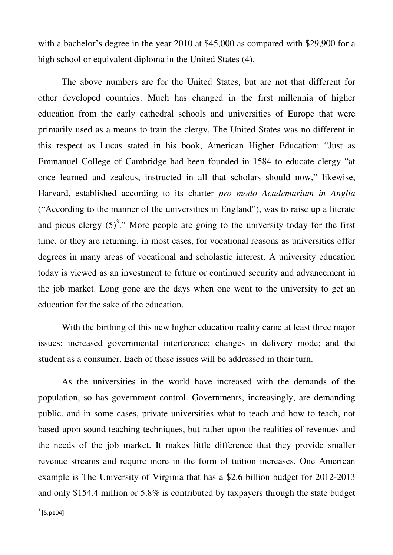with a bachelor's degree in the year 2010 at \$45,000 as compared with \$29,900 for a high school or equivalent diploma in the United States (4).

 The above numbers are for the United States, but are not that different for other developed countries. Much has changed in the first millennia of higher education from the early cathedral schools and universities of Europe that were primarily used as a means to train the clergy. The United States was no different in this respect as Lucas stated in his book, American Higher Education: "Just as Emmanuel College of Cambridge had been founded in 1584 to educate clergy "at once learned and zealous, instructed in all that scholars should now," likewise, Harvard, established according to its charter *pro modo Academarium in Anglia*  ("According to the manner of the universities in England"), was to raise up a literate and pious clergy  $(5)^3$ ." More people are going to the university today for the first time, or they are returning, in most cases, for vocational reasons as universities offer degrees in many areas of vocational and scholastic interest. A university education today is viewed as an investment to future or continued security and advancement in the job market. Long gone are the days when one went to the university to get an education for the sake of the education.

 With the birthing of this new higher education reality came at least three major issues: increased governmental interference; changes in delivery mode; and the student as a consumer. Each of these issues will be addressed in their turn.

 As the universities in the world have increased with the demands of the population, so has government control. Governments, increasingly, are demanding public, and in some cases, private universities what to teach and how to teach, not based upon sound teaching techniques, but rather upon the realities of revenues and the needs of the job market. It makes little difference that they provide smaller revenue streams and require more in the form of tuition increases. One American example is The University of Virginia that has a \$2.6 billion budget for 2012-2013 and only \$154.4 million or 5.8% is contributed by taxpayers through the state budget

l

 $3$  [5,p104]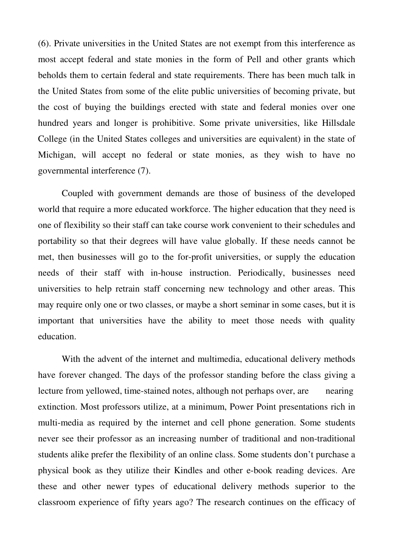(6). Private universities in the United States are not exempt from this interference as most accept federal and state monies in the form of Pell and other grants which beholds them to certain federal and state requirements. There has been much talk in the United States from some of the elite public universities of becoming private, but the cost of buying the buildings erected with state and federal monies over one hundred years and longer is prohibitive. Some private universities, like Hillsdale College (in the United States colleges and universities are equivalent) in the state of Michigan, will accept no federal or state monies, as they wish to have no governmental interference (7).

 Coupled with government demands are those of business of the developed world that require a more educated workforce. The higher education that they need is one of flexibility so their staff can take course work convenient to their schedules and portability so that their degrees will have value globally. If these needs cannot be met, then businesses will go to the for-profit universities, or supply the education needs of their staff with in-house instruction. Periodically, businesses need universities to help retrain staff concerning new technology and other areas. This may require only one or two classes, or maybe a short seminar in some cases, but it is important that universities have the ability to meet those needs with quality education.

 With the advent of the internet and multimedia, educational delivery methods have forever changed. The days of the professor standing before the class giving a lecture from yellowed, time-stained notes, although not perhaps over, are nearing extinction. Most professors utilize, at a minimum, Power Point presentations rich in multi-media as required by the internet and cell phone generation. Some students never see their professor as an increasing number of traditional and non-traditional students alike prefer the flexibility of an online class. Some students don't purchase a physical book as they utilize their Kindles and other e-book reading devices. Are these and other newer types of educational delivery methods superior to the classroom experience of fifty years ago? The research continues on the efficacy of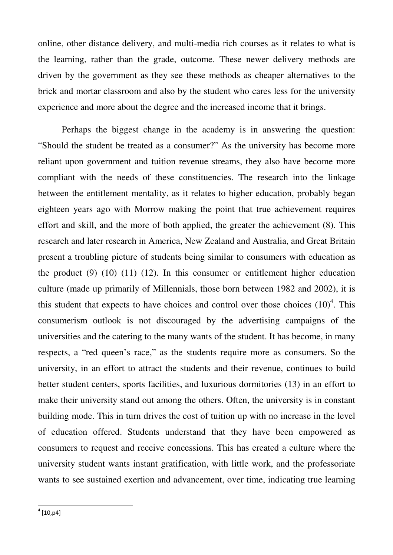online, other distance delivery, and multi-media rich courses as it relates to what is the learning, rather than the grade, outcome. These newer delivery methods are driven by the government as they see these methods as cheaper alternatives to the brick and mortar classroom and also by the student who cares less for the university experience and more about the degree and the increased income that it brings.

 Perhaps the biggest change in the academy is in answering the question: "Should the student be treated as a consumer?" As the university has become more reliant upon government and tuition revenue streams, they also have become more compliant with the needs of these constituencies. The research into the linkage between the entitlement mentality, as it relates to higher education, probably began eighteen years ago with Morrow making the point that true achievement requires effort and skill, and the more of both applied, the greater the achievement (8). This research and later research in America, New Zealand and Australia, and Great Britain present a troubling picture of students being similar to consumers with education as the product  $(9)$   $(10)$   $(11)$   $(12)$ . In this consumer or entitlement higher education culture (made up primarily of Millennials, those born between 1982 and 2002), it is this student that expects to have choices and control over those choices  $(10)^4$ . This consumerism outlook is not discouraged by the advertising campaigns of the universities and the catering to the many wants of the student. It has become, in many respects, a "red queen's race," as the students require more as consumers. So the university, in an effort to attract the students and their revenue, continues to build better student centers, sports facilities, and luxurious dormitories (13) in an effort to make their university stand out among the others. Often, the university is in constant building mode. This in turn drives the cost of tuition up with no increase in the level of education offered. Students understand that they have been empowered as consumers to request and receive concessions. This has created a culture where the university student wants instant gratification, with little work, and the professoriate wants to see sustained exertion and advancement, over time, indicating true learning

l

 $^{4}$  [10,p4]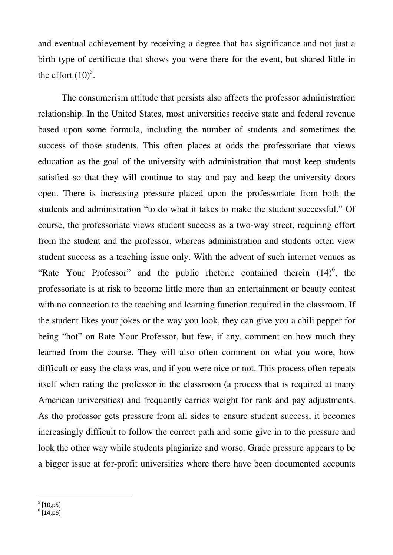and eventual achievement by receiving a degree that has significance and not just a birth type of certificate that shows you were there for the event, but shared little in the effort  $(10)^5$ .

 The consumerism attitude that persists also affects the professor administration relationship. In the United States, most universities receive state and federal revenue based upon some formula, including the number of students and sometimes the success of those students. This often places at odds the professoriate that views education as the goal of the university with administration that must keep students satisfied so that they will continue to stay and pay and keep the university doors open. There is increasing pressure placed upon the professoriate from both the students and administration "to do what it takes to make the student successful." Of course, the professoriate views student success as a two-way street, requiring effort from the student and the professor, whereas administration and students often view student success as a teaching issue only. With the advent of such internet venues as "Rate Your Professor" and the public rhetoric contained therein  $(14)^6$ , the professoriate is at risk to become little more than an entertainment or beauty contest with no connection to the teaching and learning function required in the classroom. If the student likes your jokes or the way you look, they can give you a chili pepper for being "hot" on Rate Your Professor, but few, if any, comment on how much they learned from the course. They will also often comment on what you wore, how difficult or easy the class was, and if you were nice or not. This process often repeats itself when rating the professor in the classroom (a process that is required at many American universities) and frequently carries weight for rank and pay adjustments. As the professor gets pressure from all sides to ensure student success, it becomes increasingly difficult to follow the correct path and some give in to the pressure and look the other way while students plagiarize and worse. Grade pressure appears to be a bigger issue at for-profit universities where there have been documented accounts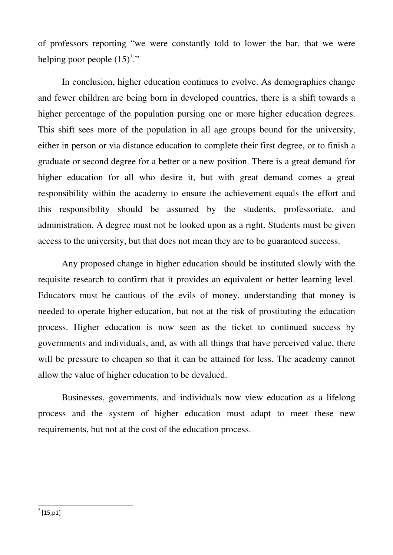of professors reporting "we were constantly told to lower the bar, that we were helping poor people  $(15)^7$ ."

 In conclusion, higher education continues to evolve. As demographics change and fewer children are being born in developed countries, there is a shift towards a higher percentage of the population pursing one or more higher education degrees. This shift sees more of the population in all age groups bound for the university, either in person or via distance education to complete their first degree, or to finish a graduate or second degree for a better or a new position. There is a great demand for higher education for all who desire it, but with great demand comes a great responsibility within the academy to ensure the achievement equals the effort and this responsibility should be assumed by the students, professoriate, and administration. A degree must not be looked upon as a right. Students must be given access to the university, but that does not mean they are to be guaranteed success.

 Any proposed change in higher education should be instituted slowly with the requisite research to confirm that it provides an equivalent or better learning level. Educators must be cautious of the evils of money, understanding that money is needed to operate higher education, but not at the risk of prostituting the education process. Higher education is now seen as the ticket to continued success by governments and individuals, and, as with all things that have perceived value, there will be pressure to cheapen so that it can be attained for less. The academy cannot allow the value of higher education to be devalued.

 Businesses, governments, and individuals now view education as a lifelong process and the system of higher education must adapt to meet these new requirements, but not at the cost of the education process.

 $^7$  [15,p1]

l